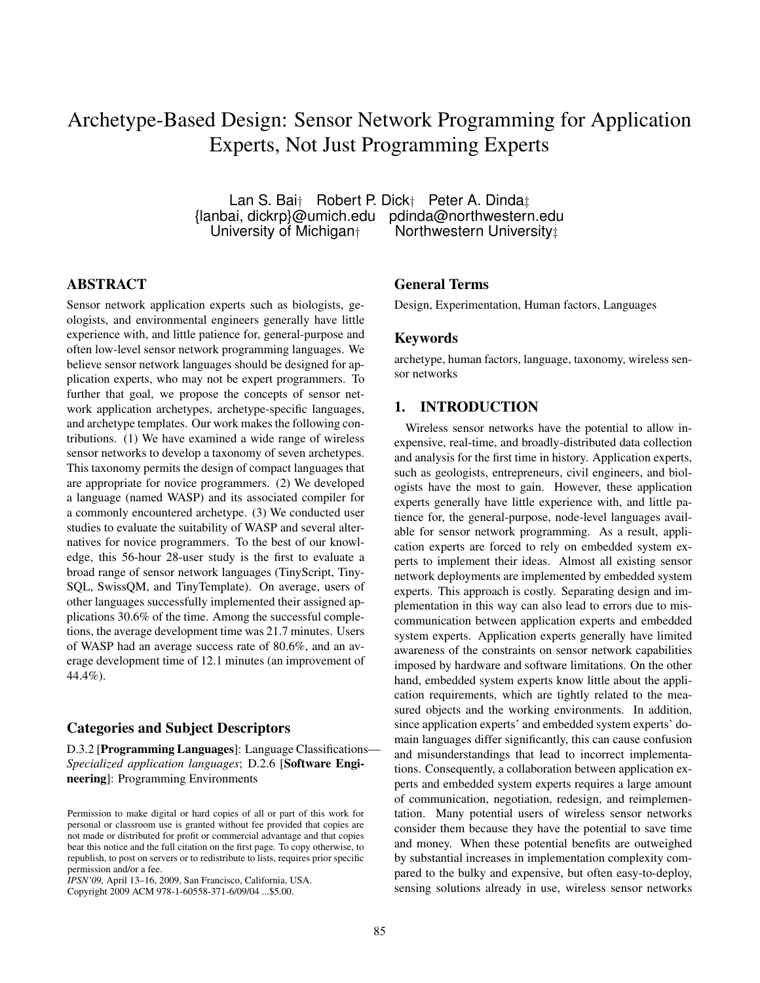# Archetype-Based Design: Sensor Network Programming for Application Experts, Not Just Programming Experts

Lan S. Bai† Robert P. Dick† Peter A. Dinda‡<br>Ianbai, dickrp}@umich.edu pdinda@northwesterr nbai, dickrp}@umich.edu pdinda@northwestern.edu<br>University of Michigan† Northwestern University‡ Northwestern University‡

#### ABSTRACT

Sensor network application experts such as biologists, geologists, and environmental engineers generally have little experience with, and little patience for, general-purpose and often low-level sensor network programming languages. We believe sensor network languages should be designed for application experts, who may not be expert programmers. To further that goal, we propose the concepts of sensor network application archetypes, archetype-specific languages, and archetype templates. Our work makes the following contributions. (1) We have examined a wide range of wireless sensor networks to develop a taxonomy of seven archetypes. This taxonomy permits the design of compact languages that are appropriate for novice programmers. (2) We developed a language (named WASP) and its associated compiler for a commonly encountered archetype. (3) We conducted user studies to evaluate the suitability of WASP and several alternatives for novice programmers. To the best of our knowledge, this 56-hour 28-user study is the first to evaluate a broad range of sensor network languages (TinyScript, Tiny-SQL, SwissQM, and TinyTemplate). On average, users of other languages successfully implemented their assigned applications 30.6% of the time. Among the successful completions, the average development time was 21.7 minutes. Users of WASP had an average success rate of 80.6%, and an average development time of 12.1 minutes (an improvement of 44.4%).

#### Categories and Subject Descriptors

D.3.2 [Programming Languages]: Language Classifications— *Specialized application languages*; D.2.6 [Software Engineering]: Programming Environments

*IPSN'09,* April 13–16, 2009, San Francisco, California, USA. Copyright 2009 ACM 978-1-60558-371-6/09/04 ...\$5.00.

#### General Terms

Design, Experimentation, Human factors, Languages

#### Keywords

archetype, human factors, language, taxonomy, wireless sensor networks

## 1. INTRODUCTION

Wireless sensor networks have the potential to allow inexpensive, real-time, and broadly-distributed data collection and analysis for the first time in history. Application experts, such as geologists, entrepreneurs, civil engineers, and biologists have the most to gain. However, these application experts generally have little experience with, and little patience for, the general-purpose, node-level languages available for sensor network programming. As a result, application experts are forced to rely on embedded system experts to implement their ideas. Almost all existing sensor network deployments are implemented by embedded system experts. This approach is costly. Separating design and implementation in this way can also lead to errors due to miscommunication between application experts and embedded system experts. Application experts generally have limited awareness of the constraints on sensor network capabilities imposed by hardware and software limitations. On the other hand, embedded system experts know little about the application requirements, which are tightly related to the measured objects and the working environments. In addition, since application experts' and embedded system experts' domain languages differ significantly, this can cause confusion and misunderstandings that lead to incorrect implementations. Consequently, a collaboration between application experts and embedded system experts requires a large amount of communication, negotiation, redesign, and reimplementation. Many potential users of wireless sensor networks consider them because they have the potential to save time and money. When these potential benefits are outweighed by substantial increases in implementation complexity compared to the bulky and expensive, but often easy-to-deploy, sensing solutions already in use, wireless sensor networks

Permission to make digital or hard copies of all or part of this work for personal or classroom use is granted without fee provided that copies are not made or distributed for profit or commercial advantage and that copies bear this notice and the full citation on the first page. To copy otherwise, to republish, to post on servers or to redistribute to lists, requires prior specific permission and/or a fee.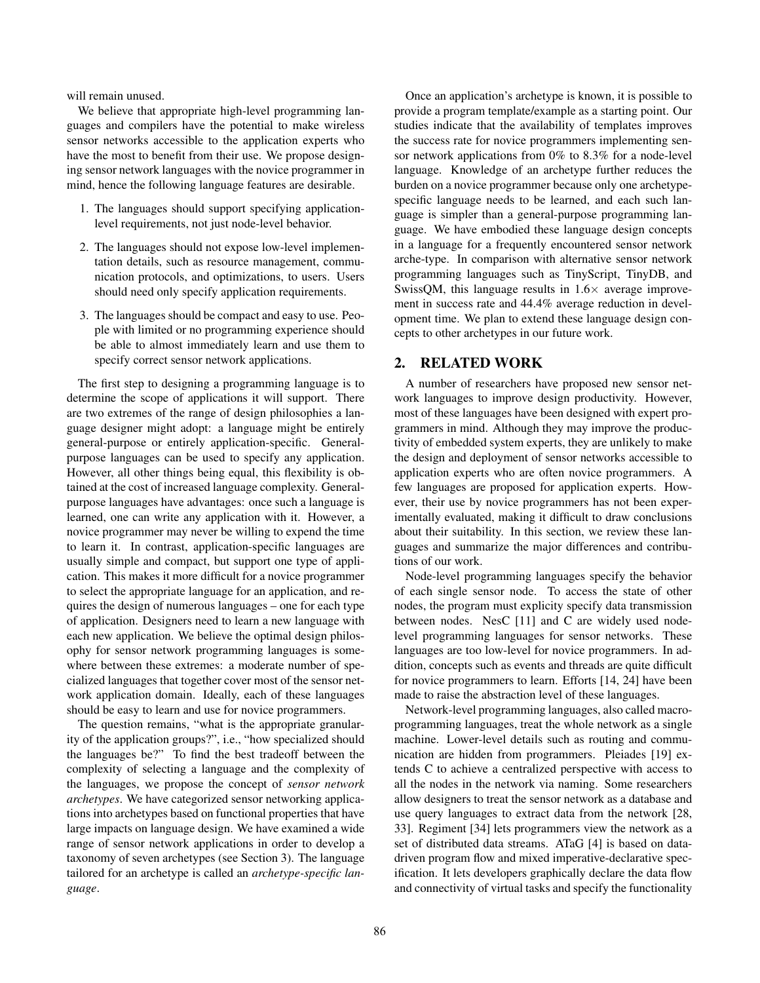will remain unused.

We believe that appropriate high-level programming languages and compilers have the potential to make wireless sensor networks accessible to the application experts who have the most to benefit from their use. We propose designing sensor network languages with the novice programmer in mind, hence the following language features are desirable.

- 1. The languages should support specifying applicationlevel requirements, not just node-level behavior.
- 2. The languages should not expose low-level implementation details, such as resource management, communication protocols, and optimizations, to users. Users should need only specify application requirements.
- 3. The languages should be compact and easy to use. People with limited or no programming experience should be able to almost immediately learn and use them to specify correct sensor network applications.

The first step to designing a programming language is to determine the scope of applications it will support. There are two extremes of the range of design philosophies a language designer might adopt: a language might be entirely general-purpose or entirely application-specific. Generalpurpose languages can be used to specify any application. However, all other things being equal, this flexibility is obtained at the cost of increased language complexity. Generalpurpose languages have advantages: once such a language is learned, one can write any application with it. However, a novice programmer may never be willing to expend the time to learn it. In contrast, application-specific languages are usually simple and compact, but support one type of application. This makes it more difficult for a novice programmer to select the appropriate language for an application, and requires the design of numerous languages – one for each type of application. Designers need to learn a new language with each new application. We believe the optimal design philosophy for sensor network programming languages is somewhere between these extremes: a moderate number of specialized languages that together cover most of the sensor network application domain. Ideally, each of these languages should be easy to learn and use for novice programmers.

The question remains, "what is the appropriate granularity of the application groups?", i.e., "how specialized should the languages be?" To find the best tradeoff between the complexity of selecting a language and the complexity of the languages, we propose the concept of *sensor network archetypes*. We have categorized sensor networking applications into archetypes based on functional properties that have large impacts on language design. We have examined a wide range of sensor network applications in order to develop a taxonomy of seven archetypes (see Section 3). The language tailored for an archetype is called an *archetype-specific language*.

Once an application's archetype is known, it is possible to provide a program template/example as a starting point. Our studies indicate that the availability of templates improves the success rate for novice programmers implementing sensor network applications from 0% to 8.3% for a node-level language. Knowledge of an archetype further reduces the burden on a novice programmer because only one archetypespecific language needs to be learned, and each such language is simpler than a general-purpose programming language. We have embodied these language design concepts in a language for a frequently encountered sensor network arche-type. In comparison with alternative sensor network programming languages such as TinyScript, TinyDB, and SwissQM, this language results in  $1.6\times$  average improvement in success rate and 44.4% average reduction in development time. We plan to extend these language design concepts to other archetypes in our future work.

# 2. RELATED WORK

A number of researchers have proposed new sensor network languages to improve design productivity. However, most of these languages have been designed with expert programmers in mind. Although they may improve the productivity of embedded system experts, they are unlikely to make the design and deployment of sensor networks accessible to application experts who are often novice programmers. A few languages are proposed for application experts. However, their use by novice programmers has not been experimentally evaluated, making it difficult to draw conclusions about their suitability. In this section, we review these languages and summarize the major differences and contributions of our work.

Node-level programming languages specify the behavior of each single sensor node. To access the state of other nodes, the program must explicity specify data transmission between nodes. NesC [11] and C are widely used nodelevel programming languages for sensor networks. These languages are too low-level for novice programmers. In addition, concepts such as events and threads are quite difficult for novice programmers to learn. Efforts [14, 24] have been made to raise the abstraction level of these languages.

Network-level programming languages, also called macroprogramming languages, treat the whole network as a single machine. Lower-level details such as routing and communication are hidden from programmers. Pleiades [19] extends C to achieve a centralized perspective with access to all the nodes in the network via naming. Some researchers allow designers to treat the sensor network as a database and use query languages to extract data from the network [28, 33]. Regiment [34] lets programmers view the network as a set of distributed data streams. ATaG [4] is based on datadriven program flow and mixed imperative-declarative specification. It lets developers graphically declare the data flow and connectivity of virtual tasks and specify the functionality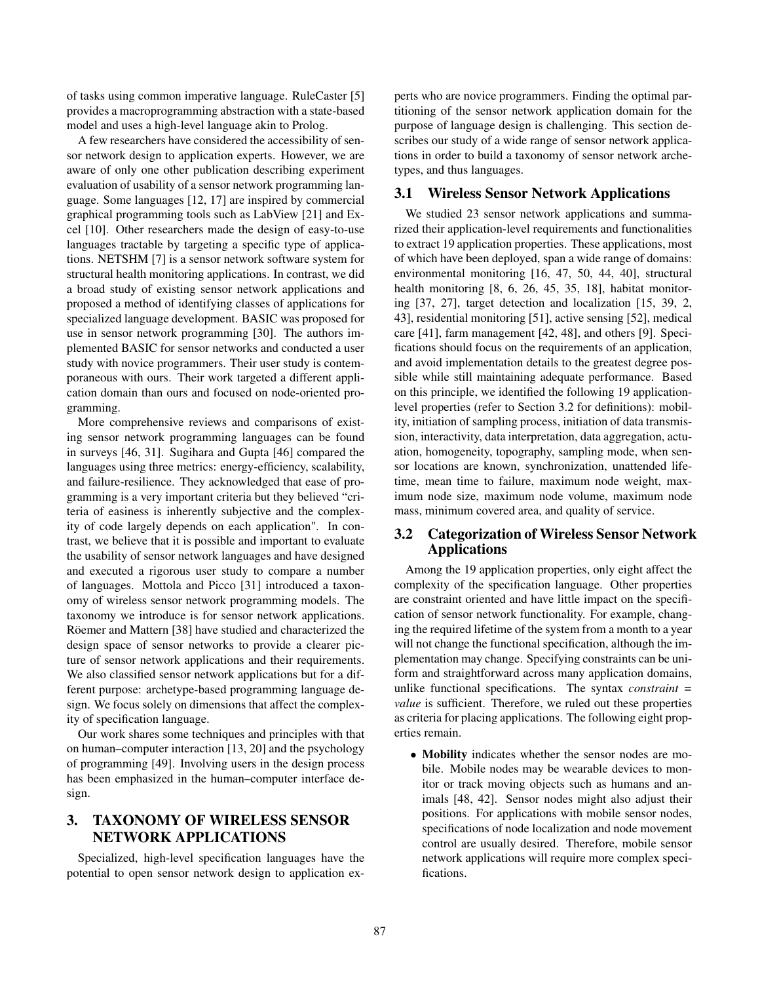of tasks using common imperative language. RuleCaster [5] provides a macroprogramming abstraction with a state-based model and uses a high-level language akin to Prolog.

A few researchers have considered the accessibility of sensor network design to application experts. However, we are aware of only one other publication describing experiment evaluation of usability of a sensor network programming language. Some languages [12, 17] are inspired by commercial graphical programming tools such as LabView [21] and Excel [10]. Other researchers made the design of easy-to-use languages tractable by targeting a specific type of applications. NETSHM [7] is a sensor network software system for structural health monitoring applications. In contrast, we did a broad study of existing sensor network applications and proposed a method of identifying classes of applications for specialized language development. BASIC was proposed for use in sensor network programming [30]. The authors implemented BASIC for sensor networks and conducted a user study with novice programmers. Their user study is contemporaneous with ours. Their work targeted a different application domain than ours and focused on node-oriented programming.

More comprehensive reviews and comparisons of existing sensor network programming languages can be found in surveys [46, 31]. Sugihara and Gupta [46] compared the languages using three metrics: energy-efficiency, scalability, and failure-resilience. They acknowledged that ease of programming is a very important criteria but they believed "criteria of easiness is inherently subjective and the complexity of code largely depends on each application". In contrast, we believe that it is possible and important to evaluate the usability of sensor network languages and have designed and executed a rigorous user study to compare a number of languages. Mottola and Picco [31] introduced a taxonomy of wireless sensor network programming models. The taxonomy we introduce is for sensor network applications. Röemer and Mattern [38] have studied and characterized the design space of sensor networks to provide a clearer picture of sensor network applications and their requirements. We also classified sensor network applications but for a different purpose: archetype-based programming language design. We focus solely on dimensions that affect the complexity of specification language.

Our work shares some techniques and principles with that on human–computer interaction [13, 20] and the psychology of programming [49]. Involving users in the design process has been emphasized in the human–computer interface design.

# 3. TAXONOMY OF WIRELESS SENSOR NETWORK APPLICATIONS

Specialized, high-level specification languages have the potential to open sensor network design to application experts who are novice programmers. Finding the optimal partitioning of the sensor network application domain for the purpose of language design is challenging. This section describes our study of a wide range of sensor network applications in order to build a taxonomy of sensor network archetypes, and thus languages.

## 3.1 Wireless Sensor Network Applications

We studied 23 sensor network applications and summarized their application-level requirements and functionalities to extract 19 application properties. These applications, most of which have been deployed, span a wide range of domains: environmental monitoring [16, 47, 50, 44, 40], structural health monitoring [8, 6, 26, 45, 35, 18], habitat monitoring [37, 27], target detection and localization [15, 39, 2, 43], residential monitoring [51], active sensing [52], medical care [41], farm management [42, 48], and others [9]. Specifications should focus on the requirements of an application, and avoid implementation details to the greatest degree possible while still maintaining adequate performance. Based on this principle, we identified the following 19 applicationlevel properties (refer to Section 3.2 for definitions): mobility, initiation of sampling process, initiation of data transmission, interactivity, data interpretation, data aggregation, actuation, homogeneity, topography, sampling mode, when sensor locations are known, synchronization, unattended lifetime, mean time to failure, maximum node weight, maximum node size, maximum node volume, maximum node mass, minimum covered area, and quality of service.

# 3.2 Categorization of Wireless Sensor Network Applications

Among the 19 application properties, only eight affect the complexity of the specification language. Other properties are constraint oriented and have little impact on the specification of sensor network functionality. For example, changing the required lifetime of the system from a month to a year will not change the functional specification, although the implementation may change. Specifying constraints can be uniform and straightforward across many application domains, unlike functional specifications. The syntax *constraint = value* is sufficient. Therefore, we ruled out these properties as criteria for placing applications. The following eight properties remain.

• Mobility indicates whether the sensor nodes are mobile. Mobile nodes may be wearable devices to monitor or track moving objects such as humans and animals [48, 42]. Sensor nodes might also adjust their positions. For applications with mobile sensor nodes, specifications of node localization and node movement control are usually desired. Therefore, mobile sensor network applications will require more complex specifications.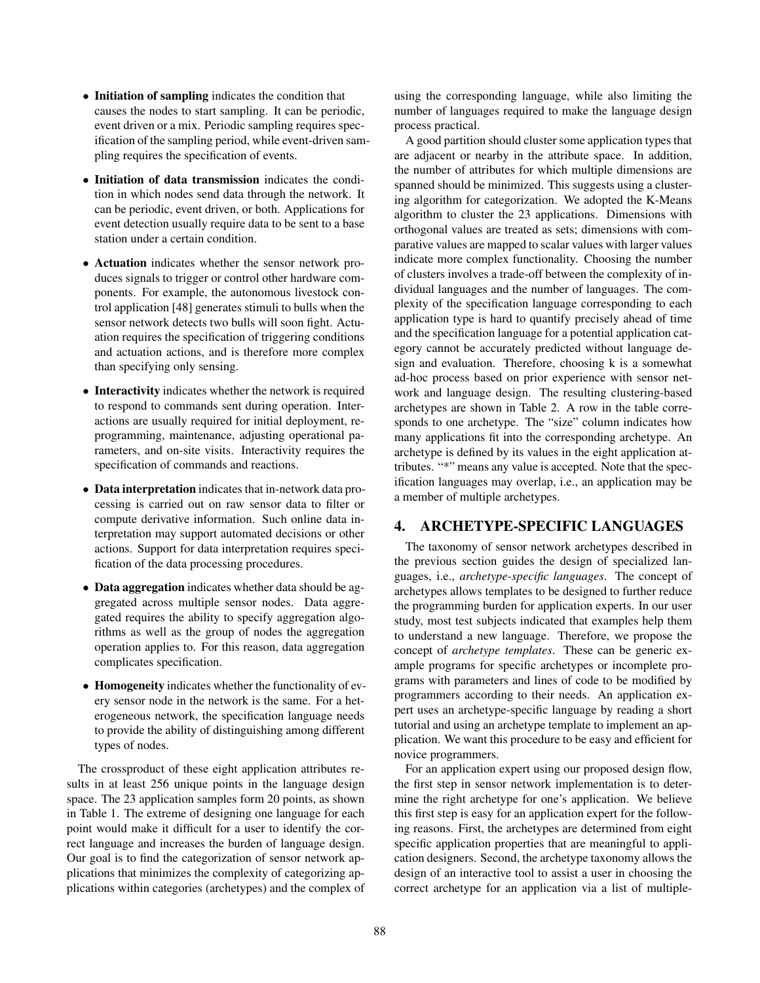- Initiation of sampling indicates the condition that causes the nodes to start sampling. It can be periodic, event driven or a mix. Periodic sampling requires specification of the sampling period, while event-driven sampling requires the specification of events.
- Initiation of data transmission indicates the condition in which nodes send data through the network. It can be periodic, event driven, or both. Applications for event detection usually require data to be sent to a base station under a certain condition.
- Actuation indicates whether the sensor network produces signals to trigger or control other hardware components. For example, the autonomous livestock control application [48] generates stimuli to bulls when the sensor network detects two bulls will soon fight. Actuation requires the specification of triggering conditions and actuation actions, and is therefore more complex than specifying only sensing.
- Interactivity indicates whether the network is required to respond to commands sent during operation. Interactions are usually required for initial deployment, reprogramming, maintenance, adjusting operational parameters, and on-site visits. Interactivity requires the specification of commands and reactions.
- Data interpretation indicates that in-network data processing is carried out on raw sensor data to filter or compute derivative information. Such online data interpretation may support automated decisions or other actions. Support for data interpretation requires specification of the data processing procedures.
- Data aggregation indicates whether data should be aggregated across multiple sensor nodes. Data aggregated requires the ability to specify aggregation algorithms as well as the group of nodes the aggregation operation applies to. For this reason, data aggregation complicates specification.
- Homogeneity indicates whether the functionality of every sensor node in the network is the same. For a heterogeneous network, the specification language needs to provide the ability of distinguishing among different types of nodes.

The crossproduct of these eight application attributes results in at least 256 unique points in the language design space. The 23 application samples form 20 points, as shown in Table 1. The extreme of designing one language for each point would make it difficult for a user to identify the correct language and increases the burden of language design. Our goal is to find the categorization of sensor network applications that minimizes the complexity of categorizing applications within categories (archetypes) and the complex of using the corresponding language, while also limiting the number of languages required to make the language design process practical.

A good partition should cluster some application types that are adjacent or nearby in the attribute space. In addition, the number of attributes for which multiple dimensions are spanned should be minimized. This suggests using a clustering algorithm for categorization. We adopted the K-Means algorithm to cluster the 23 applications. Dimensions with orthogonal values are treated as sets; dimensions with comparative values are mapped to scalar values with larger values indicate more complex functionality. Choosing the number of clusters involves a trade-off between the complexity of individual languages and the number of languages. The complexity of the specification language corresponding to each application type is hard to quantify precisely ahead of time and the specification language for a potential application category cannot be accurately predicted without language design and evaluation. Therefore, choosing k is a somewhat ad-hoc process based on prior experience with sensor network and language design. The resulting clustering-based archetypes are shown in Table 2. A row in the table corresponds to one archetype. The "size" column indicates how many applications fit into the corresponding archetype. An archetype is defined by its values in the eight application attributes. "\*" means any value is accepted. Note that the specification languages may overlap, i.e., an application may be a member of multiple archetypes.

# 4. ARCHETYPE-SPECIFIC LANGUAGES

The taxonomy of sensor network archetypes described in the previous section guides the design of specialized languages, i.e., *archetype-specific languages*. The concept of archetypes allows templates to be designed to further reduce the programming burden for application experts. In our user study, most test subjects indicated that examples help them to understand a new language. Therefore, we propose the concept of *archetype templates*. These can be generic example programs for specific archetypes or incomplete programs with parameters and lines of code to be modified by programmers according to their needs. An application expert uses an archetype-specific language by reading a short tutorial and using an archetype template to implement an application. We want this procedure to be easy and efficient for novice programmers.

For an application expert using our proposed design flow, the first step in sensor network implementation is to determine the right archetype for one's application. We believe this first step is easy for an application expert for the following reasons. First, the archetypes are determined from eight specific application properties that are meaningful to application designers. Second, the archetype taxonomy allows the design of an interactive tool to assist a user in choosing the correct archetype for an application via a list of multiple-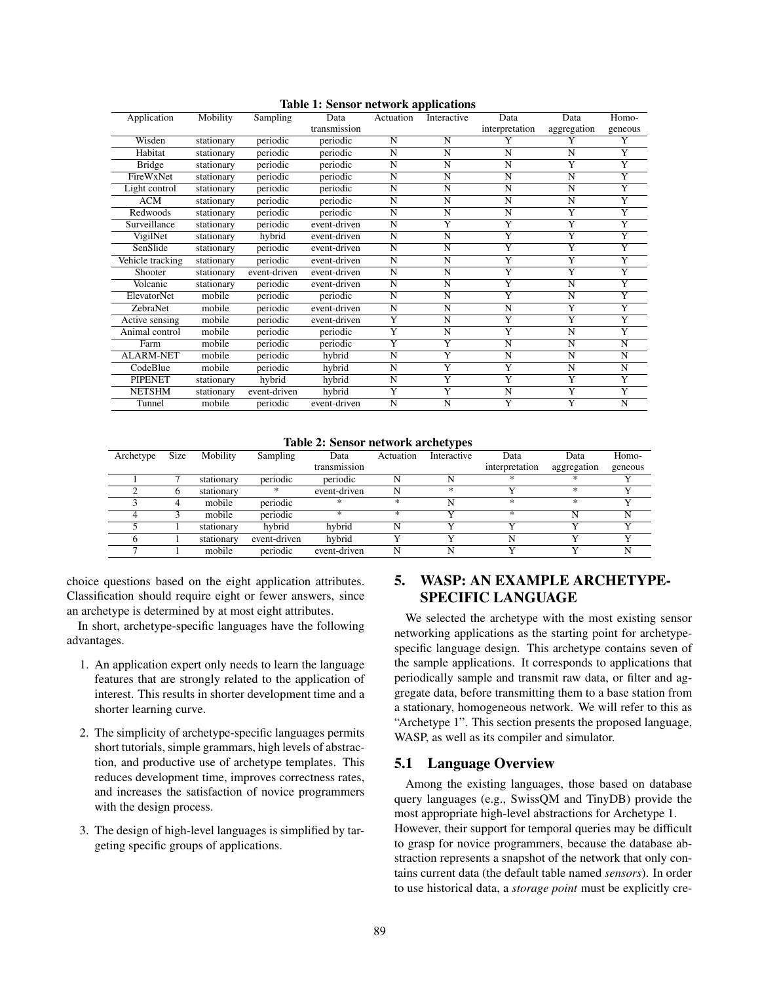|                  |            |              | Table 1. Sensor network applications |                |                         |                         |                         |                       |
|------------------|------------|--------------|--------------------------------------|----------------|-------------------------|-------------------------|-------------------------|-----------------------|
| Application      | Mobility   | Sampling     | Data                                 | Actuation      | Interactive             | Data                    | Data                    | Homo-                 |
|                  |            |              | transmission                         |                |                         | interpretation          | aggregation             | geneous               |
| Wisden           | stationary | periodic     | periodic                             | N              | N                       | $\overline{\mathsf{Y}}$ | Y                       | $\overline{Y}$        |
| Habitat          | stationary | periodic     | periodic                             | $\overline{N}$ | $\overline{N}$          | $\overline{N}$          | $\overline{\mathbf{N}}$ | Y                     |
| <b>Bridge</b>    | stationary | periodic     | periodic                             | $\mathbf N$    | N                       | N                       | $\overline{Y}$          | $\overline{Y}$        |
| FireWxNet        | stationary | periodic     | periodic                             | N              | N                       | N                       | N                       | $\overline{Y}$        |
| Light control    | stationary | periodic     | periodic                             | $\overline{N}$ | $\overline{N}$          | $\overline{N}$          | $\overline{\mathsf{N}}$ | $\overline{Y}$        |
| <b>ACM</b>       | stationary | periodic     | periodic                             | N              | N                       | N                       | N                       | $\overline{Y}$        |
| Redwoods         | stationary | periodic     | periodic                             | N              | N                       | N                       | Y                       | Y                     |
| Surveillance     | stationary | periodic     | event-driven                         | $\overline{N}$ | $\overline{Y}$          | $\overline{\mathsf{Y}}$ | $\overline{Y}$          | $\overline{Y}$        |
| VigilNet         | stationary | hybrid       | event-driven                         | N              | N                       | $\overline{Y}$          | $\overline{Y}$          | $\overline{Y}$        |
| SenSlide         | stationary | periodic     | event-driven                         | N              | N                       | $\overline{Y}$          | $\overline{Y}$          | $\overline{Y}$        |
| Vehicle tracking | stationary | periodic     | event-driven                         | $\overline{N}$ | $\overline{N}$          | $\overline{\mathsf{Y}}$ | $\overline{Y}$          | $\overline{Y}$        |
| Shooter          | stationary | event-driven | event-driven                         | N              | N                       | $\overline{Y}$          | $\overline{Y}$          | $\overline{Y}$        |
| Volcanic         | stationary | periodic     | event-driven                         | $\overline{N}$ | $\overline{N}$          | $\overline{\mathbf{Y}}$ | N                       | $\overline{Y}$        |
| ElevatorNet      | mobile     | periodic     | periodic                             | $\overline{N}$ | $\overline{N}$          | $\overline{Y}$          | $\overline{\mathsf{N}}$ | $\overline{Y}$        |
| ZebraNet         | mobile     | periodic     | event-driven                         | N              | N                       | N                       | $\overline{Y}$          | $\overline{\text{Y}}$ |
| Active sensing   | mobile     | periodic     | event-driven                         | $\overline{Y}$ | $\overline{\mathbf{N}}$ | $\overline{Y}$          | $\overline{Y}$          | $\overline{Y}$        |
| Animal control   | mobile     | periodic     | periodic                             | Ÿ              | $\overline{N}$          | Y                       | $\overline{\mathsf{N}}$ | $\overline{Y}$        |
| Farm             | mobile     | periodic     | periodic                             | $\overline{Y}$ | $\overline{Y}$          | N                       | $\overline{\text{N}}$   | N                     |
| <b>ALARM-NET</b> | mobile     | periodic     | hybrid                               | $\overline{N}$ | $\overline{Y}$          | $\overline{\mathsf{N}}$ | $\overline{\mathsf{N}}$ | $\overline{N}$        |
| CodeBlue         | mobile     | periodic     | hybrid                               | N              | $\overline{Y}$          | Y                       | N                       | N                     |
| <b>PIPENET</b>   | stationary | hybrid       | hybrid                               | $\mathbf N$    | $\overline{Y}$          | $\overline{Y}$          | $\overline{\mathsf{Y}}$ | $\overline{Y}$        |
| <b>NETSHM</b>    | stationary | event-driven | hybrid                               | Y              | $\overline{Y}$          | $\overline{\mathbf{N}}$ | $\overline{\mathrm{Y}}$ | $\overline{Y}$        |
| Tunnel           | mobile     | periodic     | event-driven                         | N              | N                       | $\overline{Y}$          | $\overline{Y}$          | $\overline{N}$        |

Table 1: Sensor network applications

Table 2: Sensor network archetypes

| Archetype | <b>Size</b> | Mobility   | Sampling     | Data         | Actuation     | .<br>Interactive | Data           | Data        | Homo-   |
|-----------|-------------|------------|--------------|--------------|---------------|------------------|----------------|-------------|---------|
|           |             |            |              | transmission |               |                  | interpretation | aggregation | geneous |
|           |             | stationary | periodic     | periodic     |               |                  | ж.             | *           |         |
|           |             | stationary |              | event-driven | N             | *                |                | *           |         |
|           |             | mobile     | periodic     | ×            | $\frac{1}{2}$ | N                | ж              | *           |         |
|           |             | mobile     | periodic     | $\ast$       | $*$           |                  | $*$            | N           |         |
|           |             | stationary | hybrid       | hybrid       | N             |                  |                |             |         |
|           |             | stationary | event-driven | hybrid       |               |                  |                |             |         |
|           |             | mobile     | periodic     | event-driven |               | N                |                |             |         |

choice questions based on the eight application attributes. Classification should require eight or fewer answers, since an archetype is determined by at most eight attributes.

In short, archetype-specific languages have the following advantages.

- 1. An application expert only needs to learn the language features that are strongly related to the application of interest. This results in shorter development time and a shorter learning curve.
- 2. The simplicity of archetype-specific languages permits short tutorials, simple grammars, high levels of abstraction, and productive use of archetype templates. This reduces development time, improves correctness rates, and increases the satisfaction of novice programmers with the design process.
- 3. The design of high-level languages is simplified by targeting specific groups of applications.

# 5. WASP: AN EXAMPLE ARCHETYPE-SPECIFIC LANGUAGE

We selected the archetype with the most existing sensor networking applications as the starting point for archetypespecific language design. This archetype contains seven of the sample applications. It corresponds to applications that periodically sample and transmit raw data, or filter and aggregate data, before transmitting them to a base station from a stationary, homogeneous network. We will refer to this as "Archetype 1". This section presents the proposed language, WASP, as well as its compiler and simulator.

### 5.1 Language Overview

Among the existing languages, those based on database query languages (e.g., SwissQM and TinyDB) provide the most appropriate high-level abstractions for Archetype 1. However, their support for temporal queries may be difficult to grasp for novice programmers, because the database abstraction represents a snapshot of the network that only contains current data (the default table named *sensors*). In order to use historical data, a *storage point* must be explicitly cre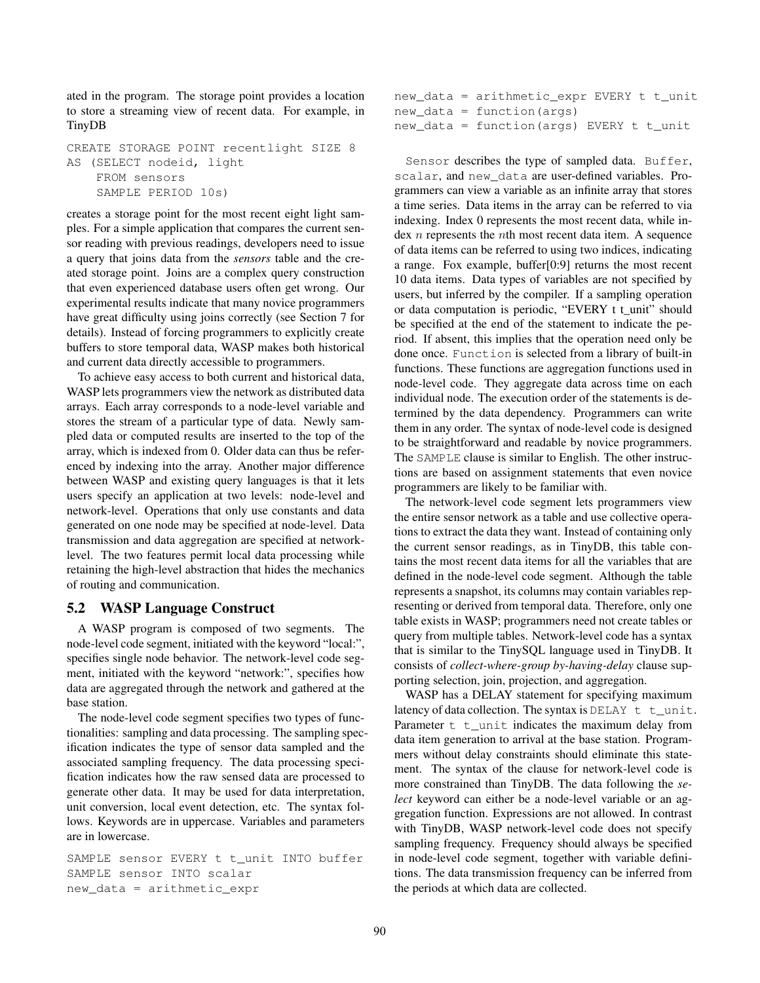ated in the program. The storage point provides a location to store a streaming view of recent data. For example, in TinyDB

CREATE STORAGE POINT recentlight SIZE 8 AS (SELECT nodeid, light FROM sensors SAMPLE PERIOD 10s)

creates a storage point for the most recent eight light samples. For a simple application that compares the current sensor reading with previous readings, developers need to issue a query that joins data from the *sensors* table and the created storage point. Joins are a complex query construction that even experienced database users often get wrong. Our experimental results indicate that many novice programmers have great difficulty using joins correctly (see Section 7 for details). Instead of forcing programmers to explicitly create buffers to store temporal data, WASP makes both historical and current data directly accessible to programmers.

To achieve easy access to both current and historical data, WASP lets programmers view the network as distributed data arrays. Each array corresponds to a node-level variable and stores the stream of a particular type of data. Newly sampled data or computed results are inserted to the top of the array, which is indexed from 0. Older data can thus be referenced by indexing into the array. Another major difference between WASP and existing query languages is that it lets users specify an application at two levels: node-level and network-level. Operations that only use constants and data generated on one node may be specified at node-level. Data transmission and data aggregation are specified at networklevel. The two features permit local data processing while retaining the high-level abstraction that hides the mechanics of routing and communication.

### 5.2 WASP Language Construct

A WASP program is composed of two segments. The node-level code segment, initiated with the keyword "local:", specifies single node behavior. The network-level code segment, initiated with the keyword "network:", specifies how data are aggregated through the network and gathered at the base station.

The node-level code segment specifies two types of functionalities: sampling and data processing. The sampling specification indicates the type of sensor data sampled and the associated sampling frequency. The data processing specification indicates how the raw sensed data are processed to generate other data. It may be used for data interpretation, unit conversion, local event detection, etc. The syntax follows. Keywords are in uppercase. Variables and parameters are in lowercase.

SAMPLE sensor EVERY t t unit INTO buffer SAMPLE sensor INTO scalar new\_data = arithmetic\_expr

```
new_data = arithmetic_expr EVERY t t_unit
new data = function(args)new_data = function(args) EVERY t t_unit
```
Sensor describes the type of sampled data. Buffer, scalar, and new\_data are user-defined variables. Programmers can view a variable as an infinite array that stores a time series. Data items in the array can be referred to via indexing. Index 0 represents the most recent data, while index *n* represents the *n*th most recent data item. A sequence of data items can be referred to using two indices, indicating a range. Fox example, buffer[0:9] returns the most recent 10 data items. Data types of variables are not specified by users, but inferred by the compiler. If a sampling operation or data computation is periodic, "EVERY t t\_unit" should be specified at the end of the statement to indicate the period. If absent, this implies that the operation need only be done once. Function is selected from a library of built-in functions. These functions are aggregation functions used in node-level code. They aggregate data across time on each individual node. The execution order of the statements is determined by the data dependency. Programmers can write them in any order. The syntax of node-level code is designed to be straightforward and readable by novice programmers. The SAMPLE clause is similar to English. The other instructions are based on assignment statements that even novice programmers are likely to be familiar with.

The network-level code segment lets programmers view the entire sensor network as a table and use collective operations to extract the data they want. Instead of containing only the current sensor readings, as in TinyDB, this table contains the most recent data items for all the variables that are defined in the node-level code segment. Although the table represents a snapshot, its columns may contain variables representing or derived from temporal data. Therefore, only one table exists in WASP; programmers need not create tables or query from multiple tables. Network-level code has a syntax that is similar to the TinySQL language used in TinyDB. It consists of *collect-where-group by-having-delay* clause supporting selection, join, projection, and aggregation.

WASP has a DELAY statement for specifying maximum latency of data collection. The syntax is DELAY  $t \nt$ \_unit. Parameter  $t$   $t$  unit indicates the maximum delay from data item generation to arrival at the base station. Programmers without delay constraints should eliminate this statement. The syntax of the clause for network-level code is more constrained than TinyDB. The data following the *select* keyword can either be a node-level variable or an aggregation function. Expressions are not allowed. In contrast with TinyDB, WASP network-level code does not specify sampling frequency. Frequency should always be specified in node-level code segment, together with variable definitions. The data transmission frequency can be inferred from the periods at which data are collected.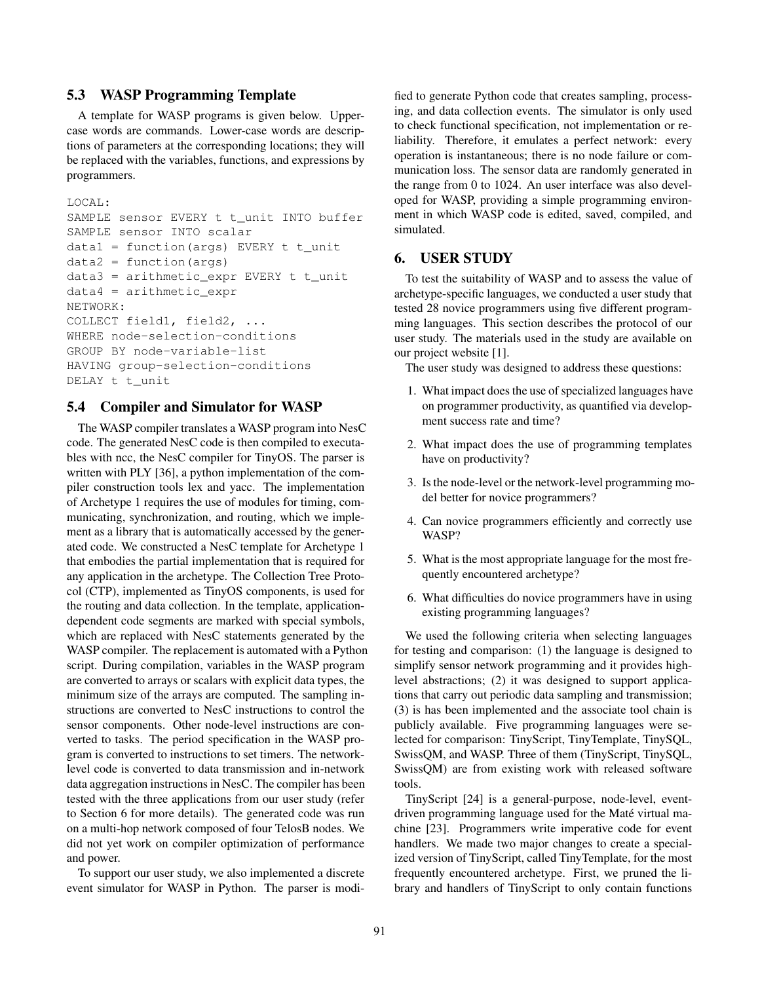# 5.3 WASP Programming Template

A template for WASP programs is given below. Uppercase words are commands. Lower-case words are descriptions of parameters at the corresponding locations; they will be replaced with the variables, functions, and expressions by programmers.

```
LOCAL:
```

```
SAMPLE sensor EVERY t t_unit INTO buffer
SAMPLE sensor INTO scalar
data1 = function(args) EVERY t t_unit
data2 = function(args)data3 = arithmetic_expr EVERY t t_unit
data4 = arithmetic exprNETWORK:
COLLECT field1, field2, ...
WHERE node-selection-conditions
GROUP BY node-variable-list
HAVING group-selection-conditions
DELAY t t_unit
```
### 5.4 Compiler and Simulator for WASP

The WASP compiler translates a WASP program into NesC code. The generated NesC code is then compiled to executables with ncc, the NesC compiler for TinyOS. The parser is written with PLY [36], a python implementation of the compiler construction tools lex and yacc. The implementation of Archetype 1 requires the use of modules for timing, communicating, synchronization, and routing, which we implement as a library that is automatically accessed by the generated code. We constructed a NesC template for Archetype 1 that embodies the partial implementation that is required for any application in the archetype. The Collection Tree Protocol (CTP), implemented as TinyOS components, is used for the routing and data collection. In the template, applicationdependent code segments are marked with special symbols, which are replaced with NesC statements generated by the WASP compiler. The replacement is automated with a Python script. During compilation, variables in the WASP program are converted to arrays or scalars with explicit data types, the minimum size of the arrays are computed. The sampling instructions are converted to NesC instructions to control the sensor components. Other node-level instructions are converted to tasks. The period specification in the WASP program is converted to instructions to set timers. The networklevel code is converted to data transmission and in-network data aggregation instructions in NesC. The compiler has been tested with the three applications from our user study (refer to Section 6 for more details). The generated code was run on a multi-hop network composed of four TelosB nodes. We did not yet work on compiler optimization of performance and power.

To support our user study, we also implemented a discrete event simulator for WASP in Python. The parser is modi-

fied to generate Python code that creates sampling, processing, and data collection events. The simulator is only used to check functional specification, not implementation or reliability. Therefore, it emulates a perfect network: every operation is instantaneous; there is no node failure or communication loss. The sensor data are randomly generated in the range from 0 to 1024. An user interface was also developed for WASP, providing a simple programming environment in which WASP code is edited, saved, compiled, and simulated.

# 6. USER STUDY

To test the suitability of WASP and to assess the value of archetype-specific languages, we conducted a user study that tested 28 novice programmers using five different programming languages. This section describes the protocol of our user study. The materials used in the study are available on our project website [1].

The user study was designed to address these questions:

- 1. What impact does the use of specialized languages have on programmer productivity, as quantified via development success rate and time?
- 2. What impact does the use of programming templates have on productivity?
- 3. Is the node-level or the network-level programming model better for novice programmers?
- 4. Can novice programmers efficiently and correctly use WASP?
- 5. What is the most appropriate language for the most frequently encountered archetype?
- 6. What difficulties do novice programmers have in using existing programming languages?

We used the following criteria when selecting languages for testing and comparison: (1) the language is designed to simplify sensor network programming and it provides highlevel abstractions; (2) it was designed to support applications that carry out periodic data sampling and transmission; (3) is has been implemented and the associate tool chain is publicly available. Five programming languages were selected for comparison: TinyScript, TinyTemplate, TinySQL, SwissQM, and WASP. Three of them (TinyScript, TinySQL, SwissQM) are from existing work with released software tools.

TinyScript [24] is a general-purpose, node-level, eventdriven programming language used for the Maté virtual machine [23]. Programmers write imperative code for event handlers. We made two major changes to create a specialized version of TinyScript, called TinyTemplate, for the most frequently encountered archetype. First, we pruned the library and handlers of TinyScript to only contain functions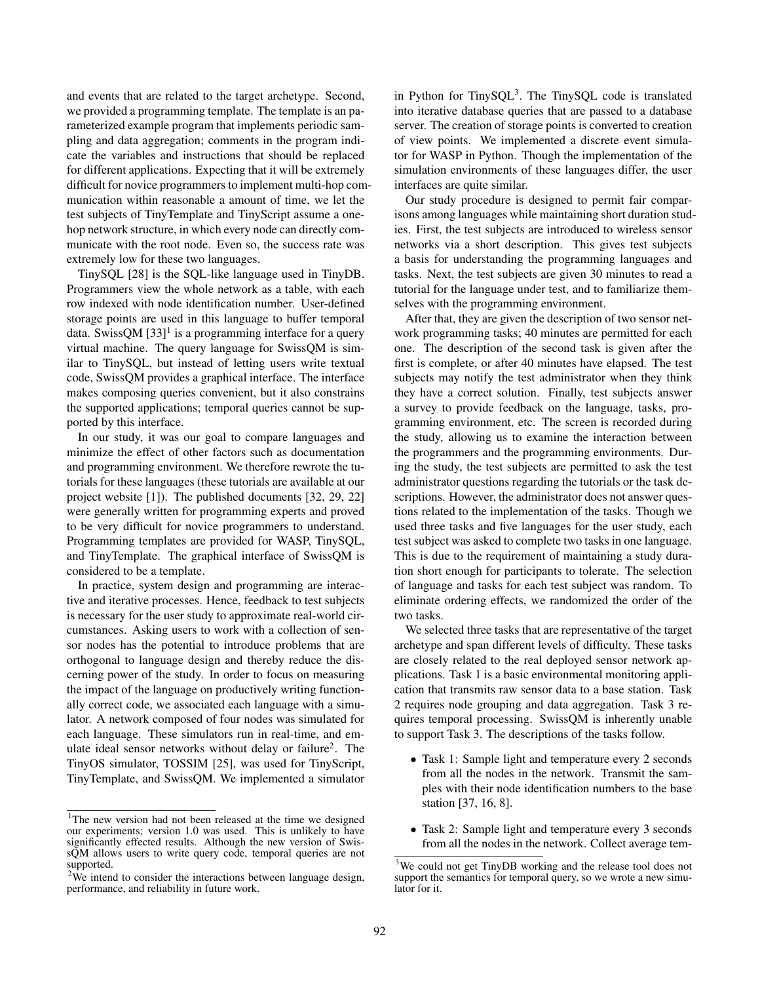and events that are related to the target archetype. Second, we provided a programming template. The template is an parameterized example program that implements periodic sampling and data aggregation; comments in the program indicate the variables and instructions that should be replaced for different applications. Expecting that it will be extremely difficult for novice programmers to implement multi-hop communication within reasonable a amount of time, we let the test subjects of TinyTemplate and TinyScript assume a onehop network structure, in which every node can directly communicate with the root node. Even so, the success rate was extremely low for these two languages.

TinySQL [28] is the SQL-like language used in TinyDB. Programmers view the whole network as a table, with each row indexed with node identification number. User-defined storage points are used in this language to buffer temporal data. SwissQM  $[33]$ <sup>1</sup> is a programming interface for a query virtual machine. The query language for SwissQM is similar to TinySQL, but instead of letting users write textual code, SwissQM provides a graphical interface. The interface makes composing queries convenient, but it also constrains the supported applications; temporal queries cannot be supported by this interface.

In our study, it was our goal to compare languages and minimize the effect of other factors such as documentation and programming environment. We therefore rewrote the tutorials for these languages (these tutorials are available at our project website [1]). The published documents [32, 29, 22] were generally written for programming experts and proved to be very difficult for novice programmers to understand. Programming templates are provided for WASP, TinySQL, and TinyTemplate. The graphical interface of SwissQM is considered to be a template.

In practice, system design and programming are interactive and iterative processes. Hence, feedback to test subjects is necessary for the user study to approximate real-world circumstances. Asking users to work with a collection of sensor nodes has the potential to introduce problems that are orthogonal to language design and thereby reduce the discerning power of the study. In order to focus on measuring the impact of the language on productively writing functionally correct code, we associated each language with a simulator. A network composed of four nodes was simulated for each language. These simulators run in real-time, and emulate ideal sensor networks without delay or failure<sup>2</sup>. The TinyOS simulator, TOSSIM [25], was used for TinyScript, TinyTemplate, and SwissQM. We implemented a simulator

in Python for TinySQL<sup>3</sup>. The TinySQL code is translated into iterative database queries that are passed to a database server. The creation of storage points is converted to creation of view points. We implemented a discrete event simulator for WASP in Python. Though the implementation of the simulation environments of these languages differ, the user interfaces are quite similar.

Our study procedure is designed to permit fair comparisons among languages while maintaining short duration studies. First, the test subjects are introduced to wireless sensor networks via a short description. This gives test subjects a basis for understanding the programming languages and tasks. Next, the test subjects are given 30 minutes to read a tutorial for the language under test, and to familiarize themselves with the programming environment.

After that, they are given the description of two sensor network programming tasks; 40 minutes are permitted for each one. The description of the second task is given after the first is complete, or after 40 minutes have elapsed. The test subjects may notify the test administrator when they think they have a correct solution. Finally, test subjects answer a survey to provide feedback on the language, tasks, programming environment, etc. The screen is recorded during the study, allowing us to examine the interaction between the programmers and the programming environments. During the study, the test subjects are permitted to ask the test administrator questions regarding the tutorials or the task descriptions. However, the administrator does not answer questions related to the implementation of the tasks. Though we used three tasks and five languages for the user study, each test subject was asked to complete two tasks in one language. This is due to the requirement of maintaining a study duration short enough for participants to tolerate. The selection of language and tasks for each test subject was random. To eliminate ordering effects, we randomized the order of the two tasks.

We selected three tasks that are representative of the target archetype and span different levels of difficulty. These tasks are closely related to the real deployed sensor network applications. Task 1 is a basic environmental monitoring application that transmits raw sensor data to a base station. Task 2 requires node grouping and data aggregation. Task 3 requires temporal processing. SwissQM is inherently unable to support Task 3. The descriptions of the tasks follow.

- Task 1: Sample light and temperature every 2 seconds from all the nodes in the network. Transmit the samples with their node identification numbers to the base station [37, 16, 8].
- Task 2: Sample light and temperature every 3 seconds from all the nodes in the network. Collect average tem-

<sup>&</sup>lt;sup>1</sup>The new version had not been released at the time we designed our experiments; version 1.0 was used. This is unlikely to have significantly effected results. Although the new version of SwissQM allows users to write query code, temporal queries are not supported.

<sup>&</sup>lt;sup>2</sup>We intend to consider the interactions between language design, performance, and reliability in future work.

<sup>&</sup>lt;sup>3</sup>We could not get TinyDB working and the release tool does not support the semantics for temporal query, so we wrote a new simulator for it.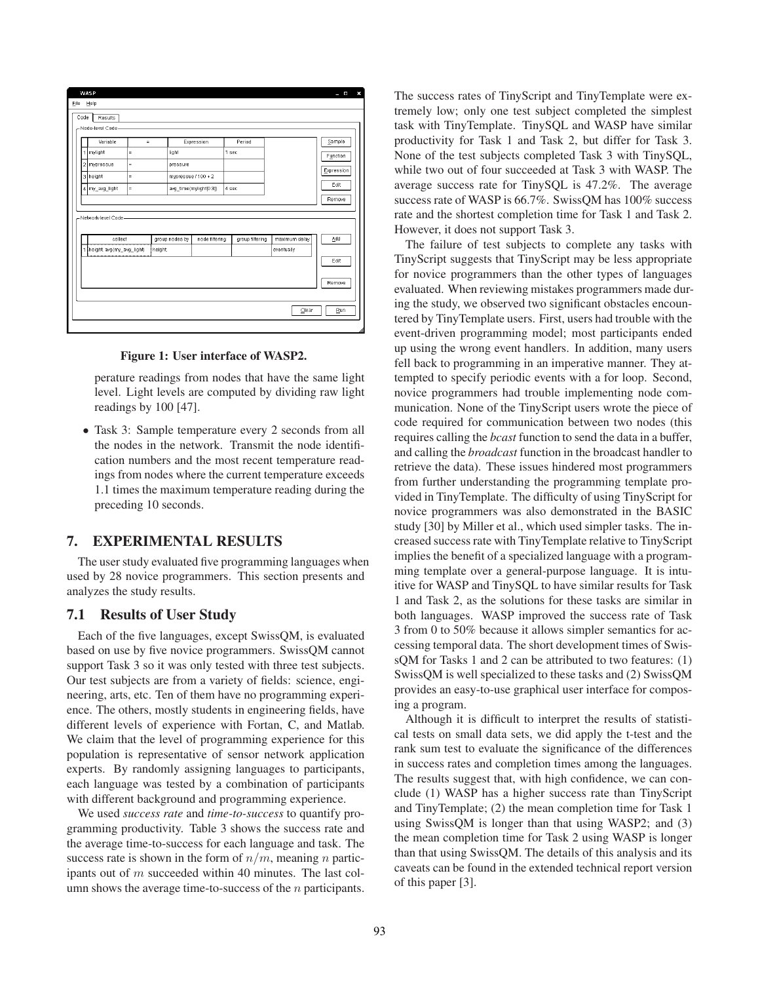| <b>WASP</b><br>File<br>Help                                                                   |                                         |          |                                          |                                      |                |                 |                             | ×<br>- -                                           |
|-----------------------------------------------------------------------------------------------|-----------------------------------------|----------|------------------------------------------|--------------------------------------|----------------|-----------------|-----------------------------|----------------------------------------------------|
| Code<br>-Node-level Code-                                                                     | Results                                 |          |                                          |                                      |                |                 |                             |                                                    |
| $\overline{1}$<br>mylight<br>2 mypressue<br>3 height<br>4 my_avg_light<br>Network-level Code- | Variable<br>$=$<br>$=$<br>$=$<br>$=$    | $\equiv$ | light<br>pressure<br>mypressue / 100 + 2 | Expression<br>avg_time(mylight[0:3]) | 1 sec<br>4 sec | Period          |                             | Sample<br>Function<br>Expression<br>Edit<br>Remove |
|                                                                                               | collect<br>1   height avg(my_avg_light) | height   | group nodes by                           | node filtering                       |                | group filtering | maximum delay<br>eventually | Add<br>Edit<br>Remove                              |
|                                                                                               |                                         |          |                                          |                                      |                |                 | $C$ lear                    | Run                                                |



perature readings from nodes that have the same light level. Light levels are computed by dividing raw light readings by 100 [47].

• Task 3: Sample temperature every 2 seconds from all the nodes in the network. Transmit the node identification numbers and the most recent temperature readings from nodes where the current temperature exceeds 1.1 times the maximum temperature reading during the preceding 10 seconds.

#### 7. EXPERIMENTAL RESULTS

The user study evaluated five programming languages when used by 28 novice programmers. This section presents and analyzes the study results.

#### 7.1 Results of User Study

Each of the five languages, except SwissQM, is evaluated based on use by five novice programmers. SwissQM cannot support Task 3 so it was only tested with three test subjects. Our test subjects are from a variety of fields: science, engineering, arts, etc. Ten of them have no programming experience. The others, mostly students in engineering fields, have different levels of experience with Fortan, C, and Matlab. We claim that the level of programming experience for this population is representative of sensor network application experts. By randomly assigning languages to participants, each language was tested by a combination of participants with different background and programming experience.

We used *success rate* and *time-to-success* to quantify programming productivity. Table 3 shows the success rate and the average time-to-success for each language and task. The success rate is shown in the form of  $n/m$ , meaning n participants out of m succeeded within 40 minutes. The last column shows the average time-to-success of the  $n$  participants. The success rates of TinyScript and TinyTemplate were extremely low; only one test subject completed the simplest task with TinyTemplate. TinySQL and WASP have similar productivity for Task 1 and Task 2, but differ for Task 3. None of the test subjects completed Task 3 with TinySQL, while two out of four succeeded at Task 3 with WASP. The average success rate for TinySQL is 47.2%. The average success rate of WASP is 66.7%. SwissQM has 100% success rate and the shortest completion time for Task 1 and Task 2. However, it does not support Task 3.

The failure of test subjects to complete any tasks with TinyScript suggests that TinyScript may be less appropriate for novice programmers than the other types of languages evaluated. When reviewing mistakes programmers made during the study, we observed two significant obstacles encountered by TinyTemplate users. First, users had trouble with the event-driven programming model; most participants ended up using the wrong event handlers. In addition, many users fell back to programming in an imperative manner. They attempted to specify periodic events with a for loop. Second, novice programmers had trouble implementing node communication. None of the TinyScript users wrote the piece of code required for communication between two nodes (this requires calling the *bcast* function to send the data in a buffer, and calling the *broadcast* function in the broadcast handler to retrieve the data). These issues hindered most programmers from further understanding the programming template provided in TinyTemplate. The difficulty of using TinyScript for novice programmers was also demonstrated in the BASIC study [30] by Miller et al., which used simpler tasks. The increased success rate with TinyTemplate relative to TinyScript implies the benefit of a specialized language with a programming template over a general-purpose language. It is intuitive for WASP and TinySQL to have similar results for Task 1 and Task 2, as the solutions for these tasks are similar in both languages. WASP improved the success rate of Task 3 from 0 to 50% because it allows simpler semantics for accessing temporal data. The short development times of SwissQM for Tasks 1 and 2 can be attributed to two features: (1) SwissQM is well specialized to these tasks and (2) SwissQM provides an easy-to-use graphical user interface for composing a program.

Although it is difficult to interpret the results of statistical tests on small data sets, we did apply the t-test and the rank sum test to evaluate the significance of the differences in success rates and completion times among the languages. The results suggest that, with high confidence, we can conclude (1) WASP has a higher success rate than TinyScript and TinyTemplate; (2) the mean completion time for Task 1 using SwissQM is longer than that using WASP2; and (3) the mean completion time for Task 2 using WASP is longer than that using SwissQM. The details of this analysis and its caveats can be found in the extended technical report version of this paper [3].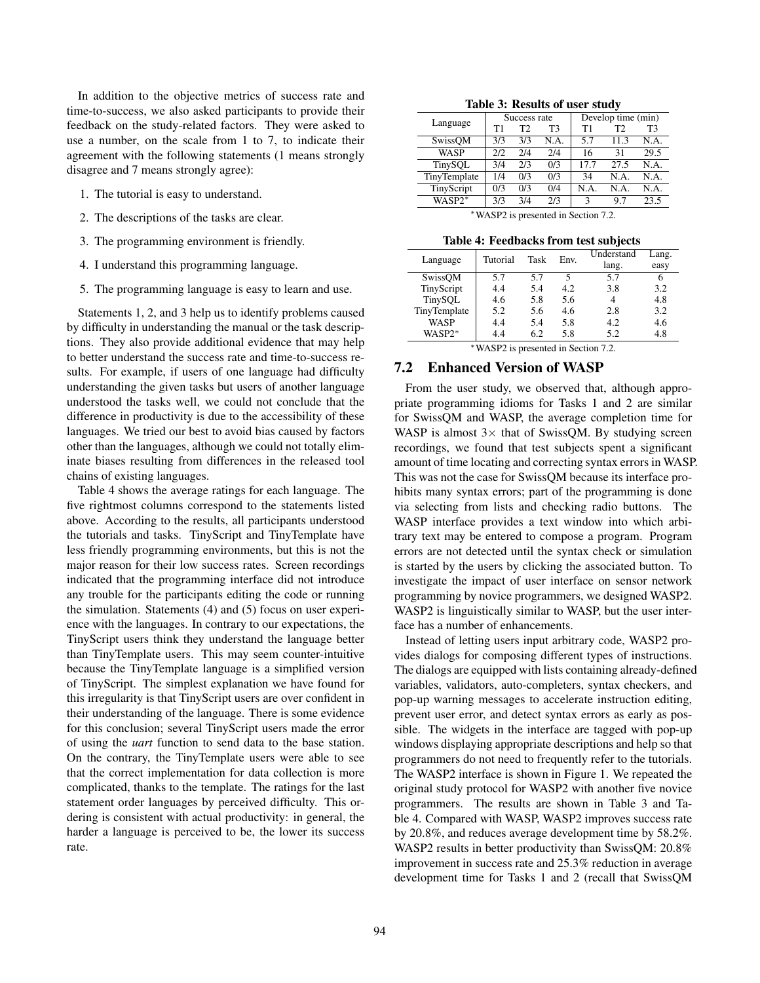In addition to the objective metrics of success rate and time-to-success, we also asked participants to provide their feedback on the study-related factors. They were asked to use a number, on the scale from 1 to 7, to indicate their agreement with the following statements (1 means strongly disagree and 7 means strongly agree):

- 1. The tutorial is easy to understand.
- 2. The descriptions of the tasks are clear.
- 3. The programming environment is friendly.
- 4. I understand this programming language.
- 5. The programming language is easy to learn and use.

Statements 1, 2, and 3 help us to identify problems caused by difficulty in understanding the manual or the task descriptions. They also provide additional evidence that may help to better understand the success rate and time-to-success results. For example, if users of one language had difficulty understanding the given tasks but users of another language understood the tasks well, we could not conclude that the difference in productivity is due to the accessibility of these languages. We tried our best to avoid bias caused by factors other than the languages, although we could not totally eliminate biases resulting from differences in the released tool chains of existing languages.

Table 4 shows the average ratings for each language. The five rightmost columns correspond to the statements listed above. According to the results, all participants understood the tutorials and tasks. TinyScript and TinyTemplate have less friendly programming environments, but this is not the major reason for their low success rates. Screen recordings indicated that the programming interface did not introduce any trouble for the participants editing the code or running the simulation. Statements (4) and (5) focus on user experience with the languages. In contrary to our expectations, the TinyScript users think they understand the language better than TinyTemplate users. This may seem counter-intuitive because the TinyTemplate language is a simplified version of TinyScript. The simplest explanation we have found for this irregularity is that TinyScript users are over confident in their understanding of the language. There is some evidence for this conclusion; several TinyScript users made the error of using the *uart* function to send data to the base station. On the contrary, the TinyTemplate users were able to see that the correct implementation for data collection is more complicated, thanks to the template. The ratings for the last statement order languages by perceived difficulty. This ordering is consistent with actual productivity: in general, the harder a language is perceived to be, the lower its success rate.

Table 3: Results of user study

|              |     | $\cdot$        |      |                    |                |      |  |
|--------------|-----|----------------|------|--------------------|----------------|------|--|
|              |     | Success rate   |      | Develop time (min) |                |      |  |
| Language     | Τ1  | T <sub>2</sub> | T3   | T1                 | T <sub>2</sub> | T3   |  |
| SwissQM      | 3/3 | 3/3            | N.A. | 5.7                | 11.3           | N.A. |  |
| <b>WASP</b>  | 212 | 2/4            | 2/4  | 16                 | 31             | 29.5 |  |
| TinySQL      | 3/4 | 2/3            | 0/3  | 17.7               | 27.5           | N.A. |  |
| TinyTemplate | 1/4 | 0/3            | 0/3  | 34                 | N.A.           | N.A. |  |
| TinyScript   | 0/3 | 0/3            | 0/4  | N.A                | N.A.           | N.A. |  |
| WASP2*       | 3/3 | 3/4            | 2/3  | 3                  | 97             | 23.5 |  |

<sup>∗</sup>WASP2 is presented in Section 7.2.

Table 4: Feedbacks from test subjects

| Language                 | Tutorial | Task | Env. | Understand<br>lang. | Lang. |  |  |  |
|--------------------------|----------|------|------|---------------------|-------|--|--|--|
|                          |          |      |      |                     | easy  |  |  |  |
| SwissOM                  | 5.7      | 5.7  | 5    | 5.7                 | h     |  |  |  |
| TinyScript               | 4.4      | 5.4  | 4.2  | 3.8                 | 3.2   |  |  |  |
| TinySQL                  | 4.6      | 5.8  | 5.6  |                     | 4.8   |  |  |  |
| TinyTemplate             | 5.2      | 5.6  | 4.6  | 2.8                 | 3.2   |  |  |  |
| <b>WASP</b>              | 4.4      | 5.4  | 5.8  | 4.2                 | 4.6   |  |  |  |
| WASP2*                   | 4.4      | 6.2  | 5.8  | 5.2                 | 4.8   |  |  |  |
| $*$ www.com <sup>2</sup> |          |      |      |                     |       |  |  |  |

WASP2 is presented in Section 7.2.

#### 7.2 Enhanced Version of WASP

From the user study, we observed that, although appropriate programming idioms for Tasks 1 and 2 are similar for SwissQM and WASP, the average completion time for WASP is almost  $3 \times$  that of SwissQM. By studying screen recordings, we found that test subjects spent a significant amount of time locating and correcting syntax errors in WASP. This was not the case for SwissQM because its interface prohibits many syntax errors; part of the programming is done via selecting from lists and checking radio buttons. The WASP interface provides a text window into which arbitrary text may be entered to compose a program. Program errors are not detected until the syntax check or simulation is started by the users by clicking the associated button. To investigate the impact of user interface on sensor network programming by novice programmers, we designed WASP2. WASP2 is linguistically similar to WASP, but the user interface has a number of enhancements.

Instead of letting users input arbitrary code, WASP2 provides dialogs for composing different types of instructions. The dialogs are equipped with lists containing already-defined variables, validators, auto-completers, syntax checkers, and pop-up warning messages to accelerate instruction editing, prevent user error, and detect syntax errors as early as possible. The widgets in the interface are tagged with pop-up windows displaying appropriate descriptions and help so that programmers do not need to frequently refer to the tutorials. The WASP2 interface is shown in Figure 1. We repeated the original study protocol for WASP2 with another five novice programmers. The results are shown in Table 3 and Table 4. Compared with WASP, WASP2 improves success rate by 20.8%, and reduces average development time by 58.2%. WASP2 results in better productivity than SwissQM: 20.8% improvement in success rate and 25.3% reduction in average development time for Tasks 1 and 2 (recall that SwissQM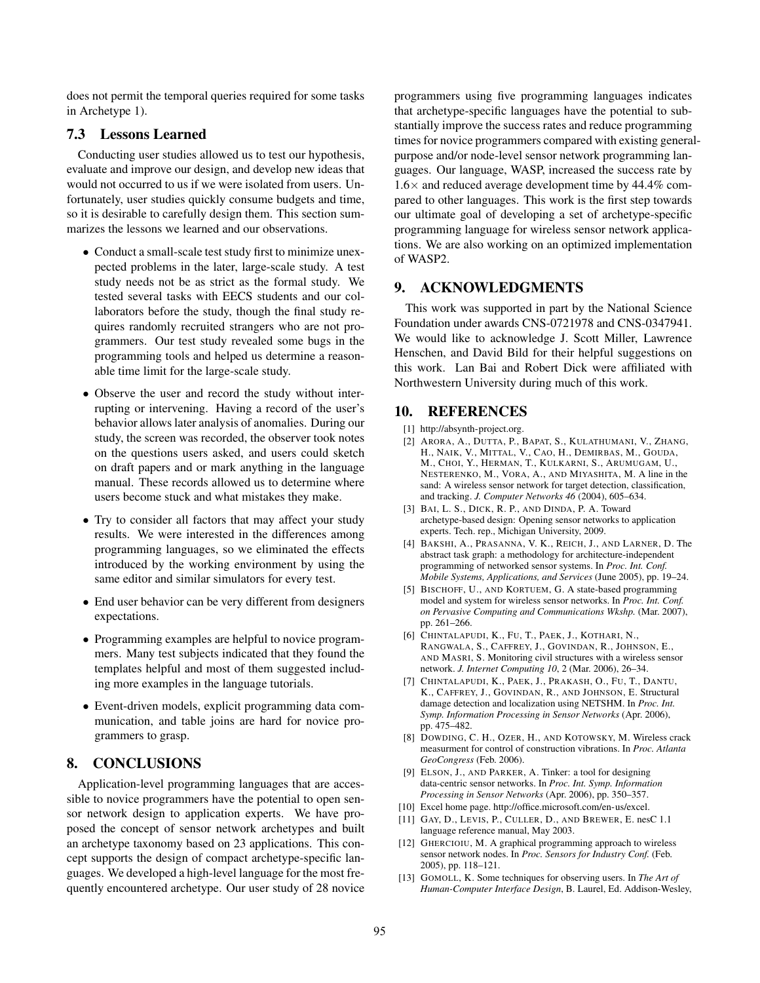does not permit the temporal queries required for some tasks in Archetype 1).

### 7.3 Lessons Learned

Conducting user studies allowed us to test our hypothesis, evaluate and improve our design, and develop new ideas that would not occurred to us if we were isolated from users. Unfortunately, user studies quickly consume budgets and time, so it is desirable to carefully design them. This section summarizes the lessons we learned and our observations.

- Conduct a small-scale test study first to minimize unexpected problems in the later, large-scale study. A test study needs not be as strict as the formal study. We tested several tasks with EECS students and our collaborators before the study, though the final study requires randomly recruited strangers who are not programmers. Our test study revealed some bugs in the programming tools and helped us determine a reasonable time limit for the large-scale study.
- Observe the user and record the study without interrupting or intervening. Having a record of the user's behavior allows later analysis of anomalies. During our study, the screen was recorded, the observer took notes on the questions users asked, and users could sketch on draft papers and or mark anything in the language manual. These records allowed us to determine where users become stuck and what mistakes they make.
- Try to consider all factors that may affect your study results. We were interested in the differences among programming languages, so we eliminated the effects introduced by the working environment by using the same editor and similar simulators for every test.
- End user behavior can be very different from designers expectations.
- Programming examples are helpful to novice programmers. Many test subjects indicated that they found the templates helpful and most of them suggested including more examples in the language tutorials.
- Event-driven models, explicit programming data communication, and table joins are hard for novice programmers to grasp.

## 8. CONCLUSIONS

Application-level programming languages that are accessible to novice programmers have the potential to open sensor network design to application experts. We have proposed the concept of sensor network archetypes and built an archetype taxonomy based on 23 applications. This concept supports the design of compact archetype-specific languages. We developed a high-level language for the most frequently encountered archetype. Our user study of 28 novice programmers using five programming languages indicates that archetype-specific languages have the potential to substantially improve the success rates and reduce programming times for novice programmers compared with existing generalpurpose and/or node-level sensor network programming languages. Our language, WASP, increased the success rate by  $1.6\times$  and reduced average development time by 44.4% compared to other languages. This work is the first step towards our ultimate goal of developing a set of archetype-specific programming language for wireless sensor network applications. We are also working on an optimized implementation of WASP2.

# 9. ACKNOWLEDGMENTS

This work was supported in part by the National Science Foundation under awards CNS-0721978 and CNS-0347941. We would like to acknowledge J. Scott Miller, Lawrence Henschen, and David Bild for their helpful suggestions on this work. Lan Bai and Robert Dick were affiliated with Northwestern University during much of this work.

### 10. REFERENCES

- [1] http://absynth-project.org.
- [2] ARORA, A., DUTTA, P., BAPAT, S., KULATHUMANI, V., ZHANG, H., NAIK, V., MITTAL, V., CAO, H., DEMIRBAS, M., GOUDA, M., CHOI, Y., HERMAN, T., KULKARNI, S., ARUMUGAM, U., NESTERENKO, M., VORA, A., AND MIYASHITA, M. A line in the sand: A wireless sensor network for target detection, classification, and tracking. *J. Computer Networks 46* (2004), 605–634.
- [3] BAI, L. S., DICK, R. P., AND DINDA, P. A. Toward archetype-based design: Opening sensor networks to application experts. Tech. rep., Michigan University, 2009.
- [4] BAKSHI, A., PRASANNA, V. K., REICH, J., AND LARNER, D. The abstract task graph: a methodology for architecture-independent programming of networked sensor systems. In *Proc. Int. Conf. Mobile Systems, Applications, and Services* (June 2005), pp. 19–24.
- [5] BISCHOFF, U., AND KORTUEM, G. A state-based programming model and system for wireless sensor networks. In *Proc. Int. Conf. on Pervasive Computing and Communications Wkshp.* (Mar. 2007), pp. 261–266.
- [6] CHINTALAPUDI, K., FU, T., PAEK, J., KOTHARI, N., RANGWALA, S., CAFFREY, J., GOVINDAN, R., JOHNSON, E., AND MASRI, S. Monitoring civil structures with a wireless sensor network. *J. Internet Computing 10*, 2 (Mar. 2006), 26–34.
- [7] CHINTALAPUDI, K., PAEK, J., PRAKASH, O., FU, T., DANTU, K., CAFFREY, J., GOVINDAN, R., AND JOHNSON, E. Structural damage detection and localization using NETSHM. In *Proc. Int. Symp. Information Processing in Sensor Networks* (Apr. 2006), pp. 475–482.
- [8] DOWDING, C. H., OZER, H., AND KOTOWSKY, M. Wireless crack measurment for control of construction vibrations. In *Proc. Atlanta GeoCongress* (Feb. 2006).
- [9] ELSON, J., AND PARKER, A. Tinker: a tool for designing data-centric sensor networks. In *Proc. Int. Symp. Information Processing in Sensor Networks* (Apr. 2006), pp. 350–357.
- [10] Excel home page. http://office.microsoft.com/en-us/excel.
- [11] GAY, D., LEVIS, P., CULLER, D., AND BREWER, E. nesC 1.1 language reference manual, May 2003.
- [12] GHERCIOIU, M. A graphical programming approach to wireless sensor network nodes. In *Proc. Sensors for Industry Conf.* (Feb. 2005), pp. 118–121.
- [13] GOMOLL, K. Some techniques for observing users. In *The Art of Human-Computer Interface Design*, B. Laurel, Ed. Addison-Wesley,